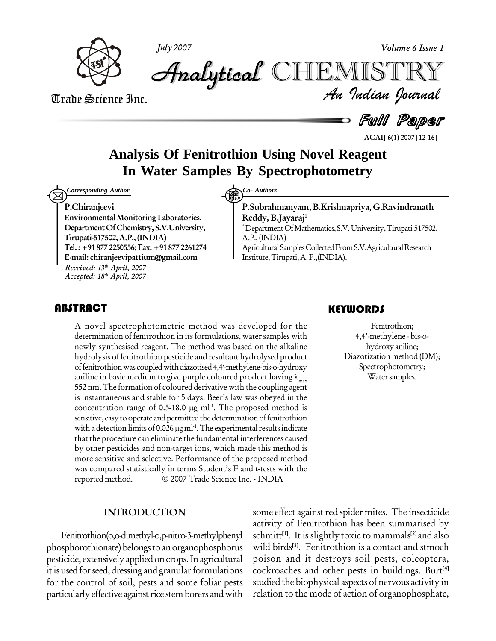

**July 2007 Volume 6 Issue 1**

Trade Science Inc. Trade Science Inc.

 *Indian Journal* **Analytical** CHEMIS

 $=$  Full Paper

**ACAIJ 6(1) 2007 [12-16]**

## **Analysis Of Fenitrothion Using Novel Reagent In Water Samples By Spectrophotometry**

*Corresponding Author Co-Authors Co-Authors* 

#### **P.Chiranjeevi**

**EnvironmentalMonitoring Laboratories, DepartmentOfChemistry, S.V.University, Tirupati-517502,A.P., (INDIA) Tel.:+91 877 2250556;Fax:+91 8772261274 E-mail: [chiranjeevipattium@gmail.com](mailto:hciranjeevipattium@gmail.com) Received: 13 th April, 2007 Accepted: 18 th April, 2007**

**P.Subrahmanyam,B.Krishnapriya, G.Ravindranath Reddy, B.Jayaraj<sup>1</sup>** \*DepartmentOfMathematics,S.V.University,Tirupati-517502, A.P.,(INDIA) Agricultural Samples Collected From S.V. Agricultural Research Institute,Tirupati,A.P.,(INDIA).

A novel spectrophotometric method was developed for the<br>determination of fenitrothion in its formulations, water samples with<br>newly synthesised reagent. The method was based on the alkaline A novel spectrophotometric method was developed for the determination of fenitrothion in its formulations, water samples with hydrolysis of fenitrothion pesticide and resultant hydrolysed product hydrolysis of fenitrothion pesticide and resultant hydrolysed product<br>of fenitrothion was coupled with diazotised 4,4<sup>1</sup>-methylene-bis-o-hydroxy<br>aniline in basic medium to give purple coloured product having  $\lambda_{\text{max}}$ <br>55 is instantaneous and stable for 5 days. Beer's law was obeyed in the 552 nm. The formation of coloured derivative<br>is instantaneous and stable for 5 days. Beer's<br>concentration range of 0.5-18.0 µg ml<sup>-1</sup>. Tl -1 . The proposed method is sensitive, easy to operate and permitted the determination of fenitrothion concentration range of 0.5-18.0 µg ml<br>sensitive, easy to operate and permitted the<br>with a detection limits of 0.026 µg ml<sup>-1</sup>. Th <sup>-1</sup>. The experimental results indicate that the procedure can eliminate the fundamental interferences caused by other pesticides and non-target ions, which made this method is more sensitive and selective. Performance of the proposed method was compared statistically in terms Student's F and t-tests with the more sensitive and selective. Performance of the proposed method<br>was compared statistically in terms Student's F and t-tests with the<br>reported method. © 2007 Trade Science Inc. - INDIA

#### **INTRODUCTION**

Fenitrothion(o,o-dimethyl-o,p-nitro-3-methylphenyl phosphorothionate) belongs to an organophosphorus pesticide, extensively applied on crops. In agricultural it is used for seed, dressing and granular formulations for the control of soil, pests and some foliar pests particularly effective against rice stem borers and with

### **KEYWORDS**

Fenitrothion;<br>4,4'-methylene - bis<br>hydroxy aniline; Fenitrothion; 4,4'-methylene - bis-o hydroxyaniline; Diazotization method (DM); Spectrophotometry; Water samples.

some effect against red spider mites. The insecticide activity of Fenitrothion has been summarised by schmitt **[1]**. It is slightly toxic to mammals **[2]** and also wild birds **[3]**. Fenitrothion is a contact and stmoch poison and it destroys soil pests, coleoptera, cockroaches and other pests in buildings. Burt **[4]** studied the biophysical aspects of nervous activity in relation to the mode of action of organophosphate,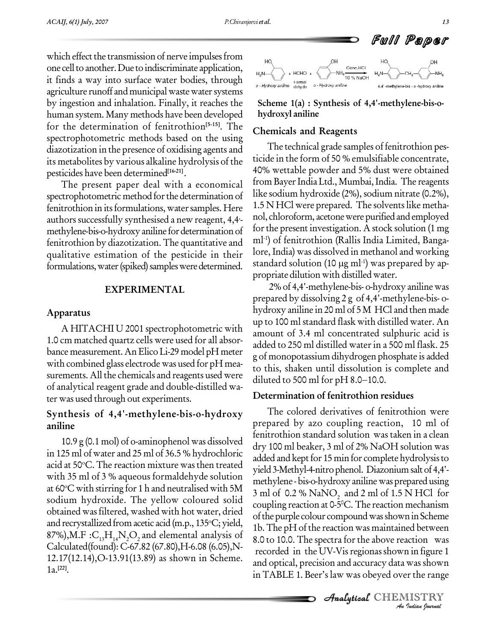which effect the transmission of nerve impulses from  $\mathbb{R}$ one cell to another. Due to indiscriminate application, it finds a way into surface water bodies, through  $\sum_{o \text{ Hydroov amplitude}}^{\infty}$ agriculture runoff and municipal waste water systems by ingestion and inhalation. Finally, it reaches the human system. Many methods have been developed for the determination of fenitrothion **[5-15]**. The spectrophotometric methods based on the using diazotization in the presence of oxidising agents and its metabolites by various alkaline hydrolysis of the pesticides have been determined **[16-21]**.

The present paper deal with a economical spectrophotometric method forthe determination of fenitrothion in its formulations, water samples. Here  $1.5\,\mathrm{N}$ <br>authors successfully synthesised a new reagent, 4,4-  $100,\mathrm{C}$ methylene-bis-o-hydroxy aniline for determination of fenitrothion by diazotization. The quantitative and qualitative estimation of the pesticide in their formulations, water (spiked) samples were determined.

#### **EXPERIMENTAL**

#### **Apparatus**

A HITACHI U 2001 spectrophotometric with 1.0 cm matched quartz cells were used for all absor bance measurement.AnElicoLi-29 model pH meter with combined glass electrode was used for pH measurements. All the chemicals and reagents used were diluted to 500 ml for pH 8.0–10.0. of analytical reagent grade and double-distilled wa ter was used through out experiments.

### **Synthesis of 4,4'-methylene-bis-o-hydroxy aniline**

10.9 g (0.1 mol) of o-aminophenol was dissolved in 125 ml of water and 25 ml of 36.5 % hydrochloric acid at 50°C. The reaction mixture was then treated  $\frac{a}{\text{width}}$ with 35 ml of 3 % aqueous formaldehyde solution  $\frac{y_{\text{total}}}{\text{method}}$ at 60 °C with stirring for 1 h and neutralised with 5M  $\frac{1}{3}$  ml of 0.2 % sodium hydroxide. The yellow coloured solid obtained was filtered, washed with hot water, dried and recrystallized from acetic acid (m.p., 135°C; yield,  $\frac{1}{16}$ 87%), M.F :  $C_{13}H_{14}N_{2}O_{2}$  and elemental analysis of Calculated(found): C-67.82 (67.80),H-6.08 (6.05),N- 12.17(12.14),O-13.91(13.89) as shown in Scheme. 1a. **[22]**.



**Scheme 1(a) : Synthesis of 4,4'-methylene-bis-o hydroxyl aniline**

#### **Chemicals and Reagents**

The technical grade samples of fenitrothion pes ticide in the form of 50 % emulsifiable concentrate, 40% wettable powder and 5% dust were obtained from Bayer India Ltd., Mumbai, India. The reagents like sodium hydroxide (2%), sodium nitrate (0.2%),  $1.5$  N HCl were prepared. The solvents like methanol, chloroform, acetonewere purified and employed for the present investigation. A stock solution (1 mg) ml<sup>1</sup>) of fenitrothion (Rallis India Limited, Banga-<br>lore, India) was dissolved in methanol and working<br>standard solution (10 μg ml<sup>1</sup>) was prepared by aplore, India) was dissolved in methanol and working standard solution (10  $\mu$ g ml<sup>-1</sup>) was prepared by appropriate dilution with distilled water.

2% of 4,4'-methylene-bis- o-hydroxy anilinewas prepared by dissolving 2 g of 4,4'-methylene-bis- o hydroxy aniline in 20 ml of 5 M HCl and then made up to 100 ml standard flask with distilled water. An amount of 3.4 ml concentrated sulphuric acid is added to 250 ml distilled waterin a 500 ml flask. 25 g of monopotassium dihydrogen phosphate is added<br>to this, shaken until dissolution is complete and<br>diluted to 500 ml for pH 8.0–10.0. to this, shaken until dissolution is complete and

#### **Determination of fenitrothion residues**

8.0 to 10.0. The spectra for the above reaction was **Indiana**<br>**Indiana**<br>**Indian bournal**<br>**IISTRY**<br>*Indian bournal* The colored derivatives of fenitrothion were prepared by azo coupling reaction, 10 ml of fenitrothion standard solution was taken in a clean dry 100 ml beaker, 3 ml of 2% NaOH solution was added and kept for 15 min for complete hydrolysis to yield 3-Methyl-4-nitrophenol. Diazoniumsaltof 4,4' methylene - bis-o-hydroxy aniline was prepared using 3 ml of 0.2 % NaNO<sub>2</sub> and 2 ml of 1.5 N HCl for coupling reaction at 0-5 <sup>0</sup>C. The reaction mechanism of the purple colour compound was shown in Scheme 1b.The pH of the reaction was maintained between recorded in the UV-V is regionas shown in figure 1 and optical, precision and accuracy data was shown in TABLE 1. Beer's law was obeyed over the range

**Analytical** CHEMISTRY

Full Paper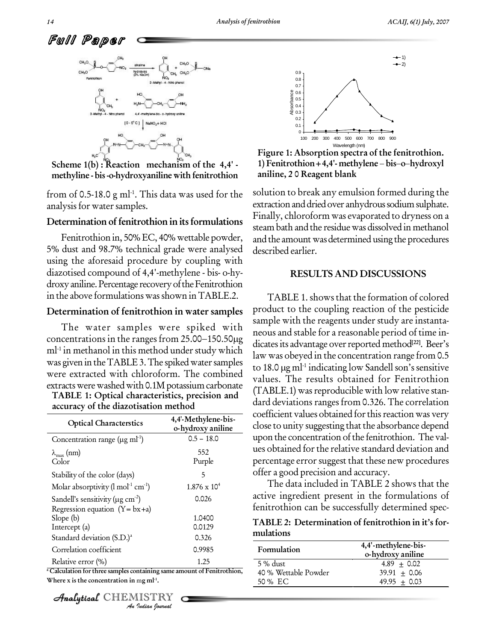

**Scheme 1(b) : Reaction mechanism of the 4,4' methyline - bis-o-hydroxyaniline with fenitrothion**

from of 0.5-18.0 g ml $^{\text{-}1}$ . This data was used for the  $^{\text{-}}$  solut. analysis for water samples.

#### **Determination** of fenitrothion in its formulations

Fenitrothion in, 50% EC, 40% wettable powder, 5% dust and 98.7% technical grade were analysed using the aforesaid procedure by coupling with diazotised compound of 4,4'-methylene - bis- o-hy droxy aniline. Percentage recovery of the Fenitrothion in the above formulationswasshown inTABLE.2.

#### **Determination of fenitrothion in water samples**

**TABLE 1: Optical characteristics, precision and** The water samples were spiked with concentrations in the ranges from  $25.00-150.50\mu g$  $ml<sup>-1</sup>$  in methanol in this method under study which  $\frac{m}{l}$ was given in the TABLE 3. The spiked water samples were extracted with chloroform. The combined extracts were washed with 0.1M potassium carbonate

| <b>TABLE 1: Optical characteristics, precision and</b> |  |
|--------------------------------------------------------|--|
| accuracy of the diazotisation method                   |  |

| <b>Optical Characterstics</b>                                                            | 4,4'-Methylene-bis-<br>o-hydroxy aniline |
|------------------------------------------------------------------------------------------|------------------------------------------|
| Concentration range (µg ml <sup>-1</sup> )                                               | $0.5 - 18.0$                             |
| $\lambda_{\max}$ (nm)<br>Color                                                           | 552<br>Purple                            |
| Stability of the color (days)                                                            | 5                                        |
| Molar absorptivity $(\text{Im} \, \text{Im}^1)$                                          | $1.876 \times 10^{4}$                    |
| Sandell's sensitivity ( $\mu$ g cm <sup>-2</sup> )<br>Regression equation $(Y = bx + a)$ | 0.026                                    |
| Slope (b)<br>Intercept (a)                                                               | 1.0400<br>0.0129                         |
| Standard deviation (S.D.) <sup>a</sup>                                                   | 0.326                                    |
| Correlation coefficient                                                                  | 0.9985                                   |
| Relative error (%)                                                                       | 1.25                                     |
| Calculation for three samples containing same amount of Fenitrothion,                    |                                          |
| Where x is the concentration in mg m $l-1$ .                                             |                                          |
| <b>Analytical</b> CHEMISTRY<br>An Indian Nournal                                         |                                          |

CHEMISTRY



**Figure 1: Absorption spectra of the fenitrothion. 1) Fenitrothion+4,4'- methylene bisohydroxyl aniline, 2 0 Reagent blank**

solution to break any emulsion formed during the extraction and dried over anhydrous sodium sulphate. Finally, chloroform was evaporated to dryness on a steam bath and the residue was dissolved in methanol and the amount was determined using the procedures described earlier.

#### **RESULTS AND DISCUSSIONS**

TABLE 1. shows that the formation of colored product to the coupling reaction of the pesticide sample with the reagents under study are instanta neous and stable for a reasonable period of time in dicates its advantage over reported method<sup>[22]</sup>. Beer's law was obeyed in the concentration range from 0.5 dicates its advantag<br>law was obeyed in<br>to 18.0 µg ml<sup>1</sup> indi <sup>1</sup> indicating low Sandell son's sensitive values. The results obtained for Fenitrothion  $(TABLE.1)$  was reproducible with low relative standard deviations ranges from 0.326. The correlation coefficient values obtained for this reaction was very close to unity suggesting that the absorbance depend upon the concentration of the fenitrothion. The values obtained forthe relative standard deviation and percentage error suggest that these new procedures offer a good precision and accuracy.

The data included in TABLE 2 shows that the active ingredient present in the formulations of fenitrothion can be successfully determined spec-

**TABLE 2: Determination of fenitrothion in itís for mulations**

| 4,4'-methylene-bis-<br>o-hydroxy aniline |
|------------------------------------------|
| $4.89 + 0.02$                            |
| $39.91 + 0.06$                           |
| $49.95 + 0.03$                           |
|                                          |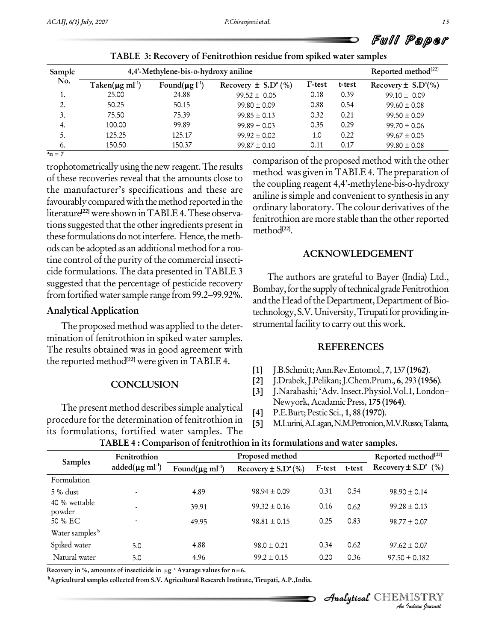|  |  | Full Paper |  |
|--|--|------------|--|
|--|--|------------|--|

| Sample | 4,4'-Methylene-bis-o-hydroxy aniline |                                  |                                     |        |        | Reported method <sup>[22]</sup>     |
|--------|--------------------------------------|----------------------------------|-------------------------------------|--------|--------|-------------------------------------|
| No.    | Taken( $\mu$ g ml <sup>-1</sup> )    | Found( $\mu$ g l <sup>-1</sup> ) | Recovery $\pm$ S.D <sup>a</sup> (%) | F-test | t-test | Recovery $\pm$ S.D <sup>a</sup> (%) |
| ٠.     | 25.00                                | 24.88                            | $99.52 \pm 0.05$                    | 0.18   | 0.39   | $99.10 \pm 0.09$                    |
| 2.     | 50.25                                | 50.15                            | $99.80 \pm 0.09$                    | 0.88   | 0.54   | $99.60 \pm 0.08$                    |
| 3.     | 75.50                                | 75.39                            | $99.85 \pm 0.13$                    | 0.32   | 0.21   | $99.50 \pm 0.09$                    |
| 4.     | 100.00                               | 99.89                            | $99.89 \pm 0.03$                    | 0.35   | 0.29   | $99.70 \pm 0.06$                    |
| 5.     | 125.25                               | 125.17                           | $99.92 \pm 0.02$                    | 1.0    | 0.22   | $99.67 \pm 0.05$                    |
| 6.     | 150.50                               | 150.37                           | $99.87 \pm 0.10$                    | 0.11   | 0.17   | $99.80 \pm 0.08$                    |

| TABLE 3: Recovery of Fenitrothion residue from spiked water samples |  |
|---------------------------------------------------------------------|--|
|---------------------------------------------------------------------|--|

 $^{a}$ **n** = 7

trophotometricallyusing thenewreagent.The results of these recoveries reveal that the amounts close to the manufacturer's specifications and these are favourably compared with the method reported in the literature<sup>[22]</sup> were shown in TABLE 4. These observations suggested that the other ingredients present in these formulations do not interfere. Hence, the methods can be adopted as an additional method for a rou tine control of the purity of the commercial insecti cide formulations. The data presented in TABLE 3<br>suggested that the percentage of pesticide recovery<br>from fortified water sample range from 99.2–99.92%. suggested that the percentage of pesticide recovery

### **Analytical Application**

The proposed method was applied to the deter mination of fenitrothion in spiked water samples. The results obtained was in good agreement with the reported method **[22]** were given inTABLE 4.

#### **CONCLUSION**

The present method describes simple analytical [4] procedure for the determination of fenitrothion in  $\begin{bmatrix} 5 \end{bmatrix}$ its formulations, fortified water samples. The

comparison of the proposed method with the other method was given inTABLE 4. The preparation of the coupling reagent 4,4'-methylene-bis-o-hydroxy aniline is simple and convenient to synthesis in any ordinary laboratory. The colour derivatives of the fenitrothion are more stable than the other reported method **[22]**.

#### **ACKNOWLEDGEMENT**

The authors are grateful to Bayer (India) Ltd., Bombay, for the supply of technical grade Fenitrothion and the Head of the Department, Department of Biotechnology, S.V. University, Tirupati for providing instrumental facility to carry out this work.

#### **REFERENCES**

- **[1]** J.B.Schmitt;Ann.Rev.Entomol., **7**, 137 **(1962)**.
- **[2]** J.Drabek,J.Pelikan;J.Chem.Prum.,**6**, 293 **(1956)**.
- [3] J.Narahashi; 'Adv. Insect.Physiol.Vol.1, London-Newyork,AcadamicPress, **175 (1964)**.
- **[4]** P.E.Burt;Pestic Sci., **1**, 88 **(1970)**.
- **[5]** M.Lurini,A.Lagan,N.M.Petronion,M.V.Russo;Talanta,

| Samples                    | Fenitrothion                      | Proposed method                                                                         |                                                                                                               |        |        | Reported method <sup>[22]</sup>     |
|----------------------------|-----------------------------------|-----------------------------------------------------------------------------------------|---------------------------------------------------------------------------------------------------------------|--------|--------|-------------------------------------|
|                            | added( $\mu$ g ml <sup>-1</sup> ) | Found( $\mu$ g ml <sup>-1</sup> )                                                       | Recovery $\pm$ S.D <sup>a</sup> (%)                                                                           | F-test | t-test | Recovery $\pm$ S.D <sup>a</sup> (%) |
| Formulation                |                                   |                                                                                         |                                                                                                               |        |        |                                     |
| 5 % dust                   |                                   | 4.89                                                                                    | $98.94 \pm 0.09$                                                                                              | 0.31   | 0.54   | $98.90 \pm 0.14$                    |
| 40 % wettable<br>powder    |                                   | 39.91                                                                                   | $99.32 \pm 0.16$                                                                                              | 0.16   | 0.62   | $99.28 \pm 0.13$                    |
| 50 % EC                    |                                   | 49.95                                                                                   | $98.81 \pm 0.15$                                                                                              | 0.25   | 0.83   | $98.77 \pm 0.07$                    |
| Water samples <sup>b</sup> |                                   |                                                                                         |                                                                                                               |        |        |                                     |
| Spiked water               | 5.0                               | 4.88                                                                                    | $98.0 \pm 0.21$                                                                                               | 0.34   | 0.62   | $97.62 \pm 0.07$                    |
| Natural water              | 5.0                               | 4.96                                                                                    | $99.2 \pm 0.15$                                                                                               | 0.20   | 0.36   | $97.50 \pm 0.182$                   |
|                            |                                   | Recovery in %, amounts of insecticide in $\mu$ g <sup>a</sup> Avarage values for n = 6. | <sup>b</sup> Agricultural samples collected from S.V. Agricultural Research Institute, Tirupati, A.P., India. |        |        | Analytical CHEMISTRY                |